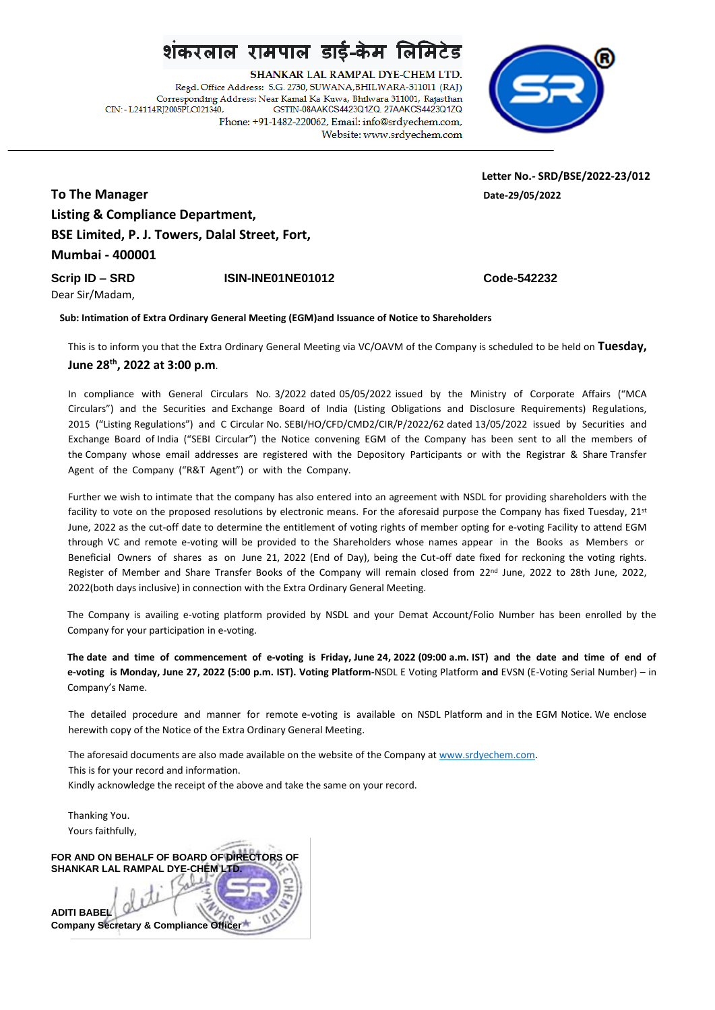SHANKAR LAL RAMPAL DYE-CHEM LTD. Regd. Office Address: S.G. 2730, SUWANA, BHILWARA-311011 (RAJ) Corresponding Address: Near Kamal Ka Kuwa, Bhilwara 311001, Rajasthan CIN: - L24114RI2005PLC021340. GSTIN-08AAKCS4423Q1ZQ, 27AAKCS4423Q1ZQ Phone: +91-1482-220062, Email: info@srdyechem.com, Website: www.srdyechem.com



 **Letter No.- SRD/BSE/2022-23/012**

**To The Manager Date-29/05/2022 Listing & Compliance Department, BSE Limited, P. J. Towers, Dalal Street, Fort, Mumbai - 400001**

**Scrip ID – SRD ISIN-INE01NE01012 Code-542232**

Dear Sir/Madam,

**Sub: Intimation of Extra Ordinary General Meeting (EGM)and Issuance of Notice to Shareholders**

This is to inform you that the Extra Ordinary General Meeting via VC/OAVM of the Company is scheduled to be held on **Tuesday, June 28th, 2022 at 3:00 p.m**.

In compliance with General Circulars No. 3/2022 dated 05/05/2022 issued by the Ministry of Corporate Affairs ("MCA Circulars") and the Securities and Exchange Board of India (Listing Obligations and Disclosure Requirements) Regulations, 2015 ("Listing Regulations") and C Circular No. SEBI/HO/CFD/CMD2/CIR/P/2022/62 dated 13/05/2022 issued by Securities and Exchange Board of India ("SEBI Circular") the Notice convening EGM of the Company has been sent to all the members of the Company whose email addresses are registered with the Depository Participants or with the Registrar & Share Transfer Agent of the Company ("R&T Agent") or with the Company.

Further we wish to intimate that the company has also entered into an agreement with NSDL for providing shareholders with the facility to vote on the proposed resolutions by electronic means. For the aforesaid purpose the Company has fixed Tuesday, 21st June, 2022 as the cut-off date to determine the entitlement of voting rights of member opting for e-voting Facility to attend EGM through VC and remote e-voting will be provided to the Shareholders whose names appear in the Books as Members or Beneficial Owners of shares as on June 21, 2022 (End of Day), being the Cut-off date fixed for reckoning the voting rights. Register of Member and Share Transfer Books of the Company will remain closed from 22<sup>nd</sup> June, 2022 to 28th June, 2022, 2022(both days inclusive) in connection with the Extra Ordinary General Meeting.

The Company is availing e-voting platform provided by NSDL and your Demat Account/Folio Number has been enrolled by the Company for your participation in e-voting.

**The date and time of commencement of e-voting is Friday, June 24, 2022 (09:00 a.m. IST) and the date and time of end of e-voting is Monday, June 27, 2022 (5:00 p.m. IST). Voting Platform-**NSDL E Voting Platform **and** EVSN (E-Voting Serial Number) – in Company's Name.

The detailed procedure and manner for remote e-voting is available on NSDL Platform and in the EGM Notice. We enclose herewith copy of the Notice of the Extra Ordinary General Meeting.

The aforesaid documents are also made available on the website of the Company at [www.srdyechem.com.](http://www.srdyechem.com/) This is for your record and information. Kindly acknowledge the receipt of the above and take the same on your record.

Thanking You. Yours faithfully,

**FOR AND ON BEHALF OF BOARD OF DIRECTORS OF SHANKAR LAL RAMPAL DYE-CHEM LTD. ADITI BABEL**

**Company Secretary & Compliance Officer**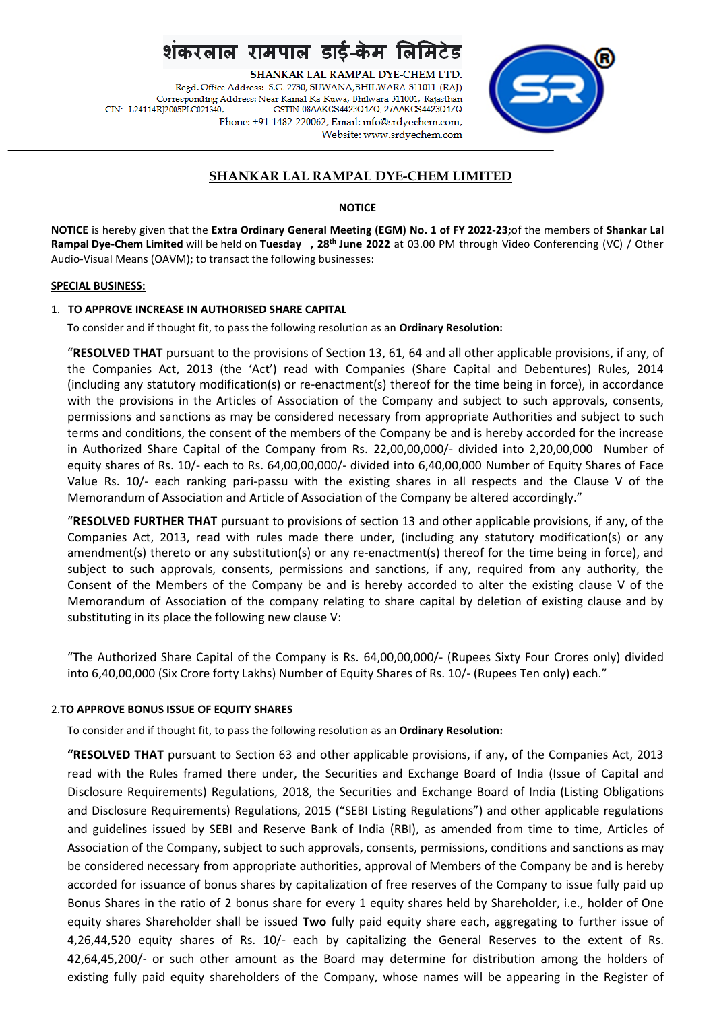SHANKAR LAL RAMPAL DYE-CHEM LTD. Regd. Office Address: S.G. 2730, SUWANA, BHILWARA-311011 (RAJ) Corresponding Address: Near Kamal Ka Kuwa, Bhilwara 311001, Rajasthan CIN: - L24114RI2005PLC021340. GSTIN-08AAKCS4423Q1ZQ, 27AAKCS4423Q1ZQ Phone: +91-1482-220062, Email: info@srdyechem.com, Website: www.srdyechem.com



## **SHANKAR LAL RAMPAL DYE-CHEM LIMITED**

#### **NOTICE**

**NOTICE** is hereby given that the **Extra Ordinary General Meeting (EGM) No. 1 of FY 2022-23;**of the members of **Shankar Lal Rampal Dye-Chem Limited** will be held on **Tuesday , 28th June 2022** at 03.00 PM through Video Conferencing (VC) / Other Audio-Visual Means (OAVM); to transact the following businesses:

#### **SPECIAL BUSINESS:**

### 1. **TO APPROVE INCREASE IN AUTHORISED SHARE CAPITAL**

To consider and if thought fit, to pass the following resolution as an **Ordinary Resolution:**

"**RESOLVED THAT** pursuant to the provisions of Section 13, 61, 64 and all other applicable provisions, if any, of the Companies Act, 2013 (the 'Act') read with Companies (Share Capital and Debentures) Rules, 2014 (including any statutory modification(s) or re-enactment(s) thereof for the time being in force), in accordance with the provisions in the Articles of Association of the Company and subject to such approvals, consents, permissions and sanctions as may be considered necessary from appropriate Authorities and subject to such terms and conditions, the consent of the members of the Company be and is hereby accorded for the increase in Authorized Share Capital of the Company from Rs. 22,00,00,000/- divided into 2,20,00,000 Number of equity shares of Rs. 10/- each to Rs. 64,00,00,000/- divided into 6,40,00,000 Number of Equity Shares of Face Value Rs. 10/- each ranking pari-passu with the existing shares in all respects and the Clause V of the Memorandum of Association and Article of Association of the Company be altered accordingly."

"**RESOLVED FURTHER THAT** pursuant to provisions of section 13 and other applicable provisions, if any, of the Companies Act, 2013, read with rules made there under, (including any statutory modification(s) or any amendment(s) thereto or any substitution(s) or any re-enactment(s) thereof for the time being in force), and subject to such approvals, consents, permissions and sanctions, if any, required from any authority, the Consent of the Members of the Company be and is hereby accorded to alter the existing clause V of the Memorandum of Association of the company relating to share capital by deletion of existing clause and by substituting in its place the following new clause V:

"The Authorized Share Capital of the Company is Rs. 64,00,00,000/- (Rupees Sixty Four Crores only) divided into 6,40,00,000 (Six Crore forty Lakhs) Number of Equity Shares of Rs. 10/- (Rupees Ten only) each."

#### 2.**TO APPROVE BONUS ISSUE OF EQUITY SHARES**

To consider and if thought fit, to pass the following resolution as an **Ordinary Resolution:**

**"RESOLVED THAT** pursuant to Section 63 and other applicable provisions, if any, of the Companies Act, 2013 read with the Rules framed there under, the Securities and Exchange Board of India (Issue of Capital and Disclosure Requirements) Regulations, 2018, the Securities and Exchange Board of India (Listing Obligations and Disclosure Requirements) Regulations, 2015 ("SEBI Listing Regulations") and other applicable regulations and guidelines issued by SEBI and Reserve Bank of India (RBI), as amended from time to time, Articles of Association of the Company, subject to such approvals, consents, permissions, conditions and sanctions as may be considered necessary from appropriate authorities, approval of Members of the Company be and is hereby accorded for issuance of bonus shares by capitalization of free reserves of the Company to issue fully paid up Bonus Shares in the ratio of 2 bonus share for every 1 equity shares held by Shareholder, i.e., holder of One equity shares Shareholder shall be issued **Two** fully paid equity share each, aggregating to further issue of 4,26,44,520 equity shares of Rs. 10/- each by capitalizing the General Reserves to the extent of Rs. 42,64,45,200/- or such other amount as the Board may determine for distribution among the holders of existing fully paid equity shareholders of the Company, whose names will be appearing in the Register of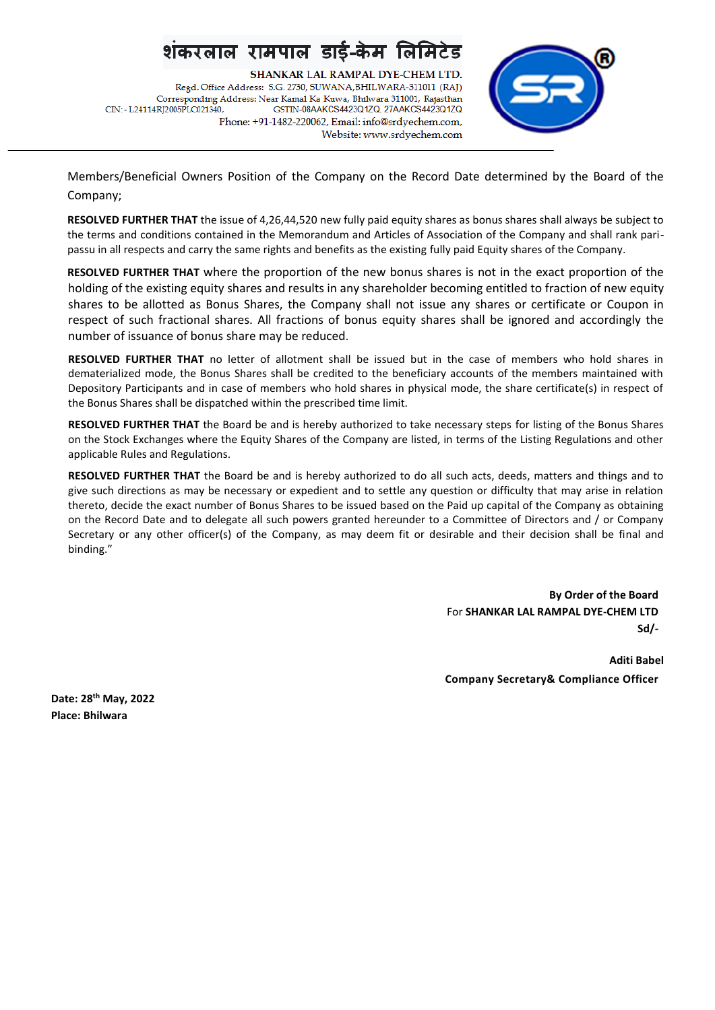SHANKAR LAL RAMPAL DYE-CHEM LTD. Regd. Office Address: S.G. 2730, SUWANA, BHILWARA-311011 (RAJ) Corresponding Address: Near Kamal Ka Kuwa, Bhilwara 311001, Rajasthan CIN: - L24114RI2005PLC021340. GSTIN-08AAKCS4423Q1ZQ, 27AAKCS4423Q1ZQ Phone: +91-1482-220062, Email: info@srdyechem.com, Website: www.srdyechem.com



Members/Beneficial Owners Position of the Company on the Record Date determined by the Board of the Company;

**RESOLVED FURTHER THAT** the issue of 4,26,44,520 new fully paid equity shares as bonus shares shall always be subject to the terms and conditions contained in the Memorandum and Articles of Association of the Company and shall rank paripassu in all respects and carry the same rights and benefits as the existing fully paid Equity shares of the Company.

**RESOLVED FURTHER THAT** where the proportion of the new bonus shares is not in the exact proportion of the holding of the existing equity shares and results in any shareholder becoming entitled to fraction of new equity shares to be allotted as Bonus Shares, the Company shall not issue any shares or certificate or Coupon in respect of such fractional shares. All fractions of bonus equity shares shall be ignored and accordingly the number of issuance of bonus share may be reduced.

**RESOLVED FURTHER THAT** no letter of allotment shall be issued but in the case of members who hold shares in dematerialized mode, the Bonus Shares shall be credited to the beneficiary accounts of the members maintained with Depository Participants and in case of members who hold shares in physical mode, the share certificate(s) in respect of the Bonus Shares shall be dispatched within the prescribed time limit.

**RESOLVED FURTHER THAT** the Board be and is hereby authorized to take necessary steps for listing of the Bonus Shares on the Stock Exchanges where the Equity Shares of the Company are listed, in terms of the Listing Regulations and other applicable Rules and Regulations.

**RESOLVED FURTHER THAT** the Board be and is hereby authorized to do all such acts, deeds, matters and things and to give such directions as may be necessary or expedient and to settle any question or difficulty that may arise in relation thereto, decide the exact number of Bonus Shares to be issued based on the Paid up capital of the Company as obtaining on the Record Date and to delegate all such powers granted hereunder to a Committee of Directors and / or Company Secretary or any other officer(s) of the Company, as may deem fit or desirable and their decision shall be final and binding."

> **By Order of the Board** For **SHANKAR LAL RAMPAL DYE-CHEM LTD Sd/-**

**Aditi Babel Company Secretary& Compliance Officer**

**Date: 28th May, 2022 Place: Bhilwara**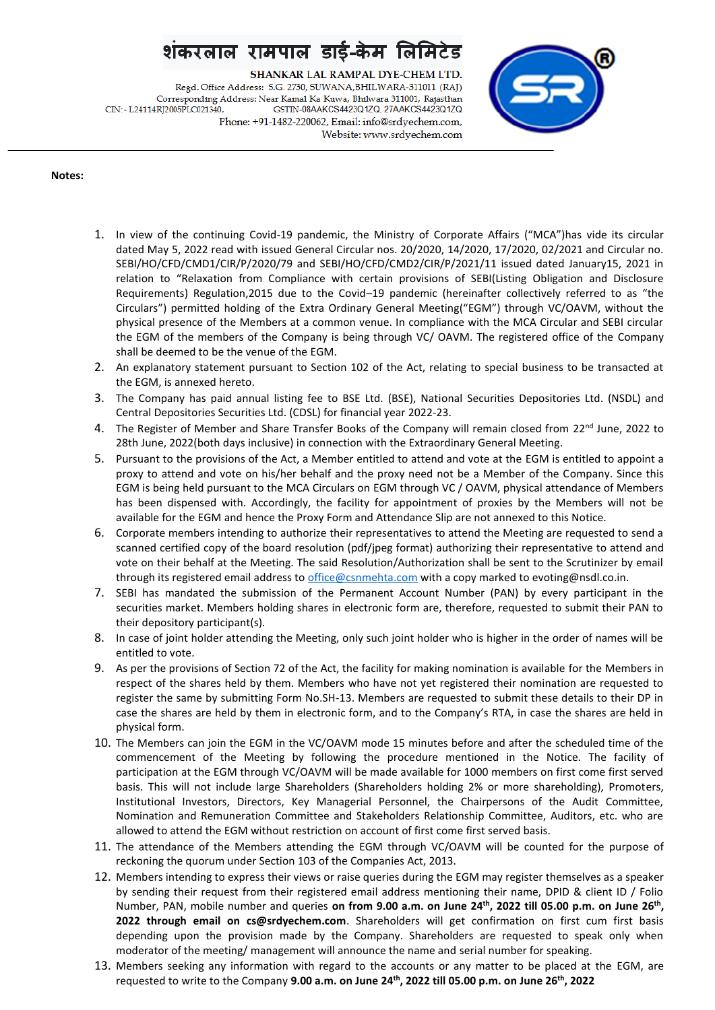SHANKAR LAL RAMPAL DYE-CHEM LTD. Regd. Office Address: S.G. 2730, SUWANA, BHILWARA-311011 (RAJ) Corresponding Address: Near Kamal Ka Kuwa, Bhilwara 311001, Rajasthan CIN: - L24114RI2005PLC021340. GSTIN-08AAKCS4423Q1ZQ, 27AAKCS4423Q1ZQ Phone: +91-1482-220062, Email: info@srdyechem.com, Website: www.srdyechem.com



#### **Notes:**

- 1. In view of the continuing Covid-19 pandemic, the Ministry of Corporate Affairs ("MCA")has vide its circular dated May 5, 2022 read with issued General Circular nos. 20/2020, 14/2020, 17/2020, 02/2021 and Circular no. SEBI/HO/CFD/CMD1/CIR/P/2020/79 and SEBI/HO/CFD/CMD2/CIR/P/2021/11 issued dated January15, 2021 in relation to "Relaxation from Compliance with certain provisions of SEBI(Listing Obligation and Disclosure Requirements) Regulation,2015 due to the Covid–19 pandemic (hereinafter collectively referred to as "the Circulars") permitted holding of the Extra Ordinary General Meeting("EGM") through VC/OAVM, without the physical presence of the Members at a common venue. In compliance with the MCA Circular and SEBI circular the EGM of the members of the Company is being through VC/ OAVM. The registered office of the Company shall be deemed to be the venue of the EGM.
- 2. An explanatory statement pursuant to Section 102 of the Act, relating to special business to be transacted at the EGM, is annexed hereto.
- 3. The Company has paid annual listing fee to BSE Ltd. (BSE), National Securities Depositories Ltd. (NSDL) and Central Depositories Securities Ltd. (CDSL) for financial year 2022-23.
- 4. The Register of Member and Share Transfer Books of the Company will remain closed from 22<sup>nd</sup> June, 2022 to 28th June, 2022(both days inclusive) in connection with the Extraordinary General Meeting.
- 5. Pursuant to the provisions of the Act, a Member entitled to attend and vote at the EGM is entitled to appoint a proxy to attend and vote on his/her behalf and the proxy need not be a Member of the Company. Since this EGM is being held pursuant to the MCA Circulars on EGM through VC / OAVM, physical attendance of Members has been dispensed with. Accordingly, the facility for appointment of proxies by the Members will not be available for the EGM and hence the Proxy Form and Attendance Slip are not annexed to this Notice.
- 6. Corporate members intending to authorize their representatives to attend the Meeting are requested to send a scanned certified copy of the board resolution (pdf/jpeg format) authorizing their representative to attend and vote on their behalf at the Meeting. The said Resolution/Authorization shall be sent to the Scrutinizer by email through its registered email address to [office@csnmehta.com](mailto:office@csnmehta.com) with a copy marked to evoting@nsdl.co.in.
- 7. SEBI has mandated the submission of the Permanent Account Number (PAN) by every participant in the securities market. Members holding shares in electronic form are, therefore, requested to submit their PAN to their depository participant(s).
- 8. In case of joint holder attending the Meeting, only such joint holder who is higher in the order of names will be entitled to vote.
- 9. As per the provisions of Section 72 of the Act, the facility for making nomination is available for the Members in respect of the shares held by them. Members who have not yet registered their nomination are requested to register the same by submitting Form No.SH-13. Members are requested to submit these details to their DP in case the shares are held by them in electronic form, and to the Company's RTA, in case the shares are held in physical form.
- 10. The Members can join the EGM in the VC/OAVM mode 15 minutes before and after the scheduled time of the commencement of the Meeting by following the procedure mentioned in the Notice. The facility of participation at the EGM through VC/OAVM will be made available for 1000 members on first come first served basis. This will not include large Shareholders (Shareholders holding 2% or more shareholding), Promoters, Institutional Investors, Directors, Key Managerial Personnel, the Chairpersons of the Audit Committee, Nomination and Remuneration Committee and Stakeholders Relationship Committee, Auditors, etc. who are allowed to attend the EGM without restriction on account of first come first served basis.
- 11. The attendance of the Members attending the EGM through VC/OAVM will be counted for the purpose of reckoning the quorum under Section 103 of the Companies Act, 2013.
- 12. Members intending to express their views or raise queries during the EGM may register themselves as a speaker by sending their request from their registered email address mentioning their name, DPID & client ID / Folio Number, PAN, mobile number and queries **on from 9.00 a.m. on June 24th, 2022 till 05.00 p.m. on June 26 th , 2022 through email on cs@srdyechem.com**. Shareholders will get confirmation on first cum first basis depending upon the provision made by the Company. Shareholders are requested to speak only when moderator of the meeting/ management will announce the name and serial number for speaking.
- 13. Members seeking any information with regard to the accounts or any matter to be placed at the EGM, are requested to write to the Company **9.00 a.m. on June 24th, 2022 till 05.00 p.m. on June 26 th, 2022**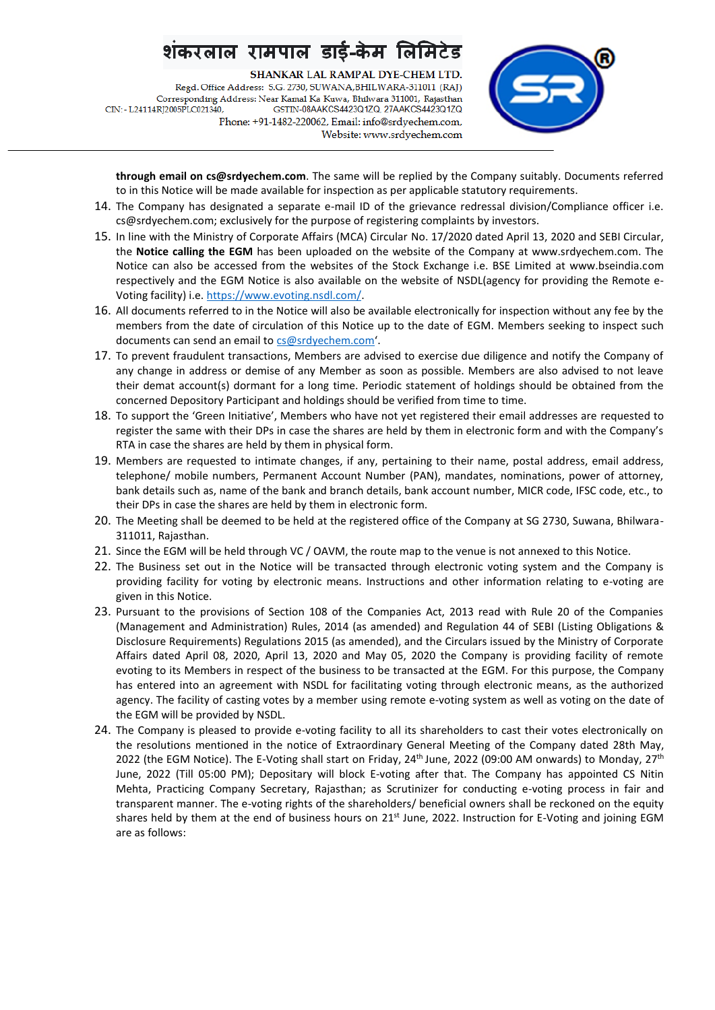SHANKAR LAL RAMPAL DYE-CHEM LTD.

Regd. Office Address: S.G. 2730, SUWANA, BHILWARA-311011 (RAJ) Corresponding Address: Near Kamal Ka Kuwa, Bhilwara 311001, Rajasthan CIN: - L24114RI2005PLC021340. GSTIN-08AAKCS4423Q1ZQ, 27AAKCS4423Q1ZQ Phone: +91-1482-220062, Email: info@srdyechem.com, Website: www.srdyechem.com



**through email on cs@srdyechem.com**. The same will be replied by the Company suitably. Documents referred to in this Notice will be made available for inspection as per applicable statutory requirements.

- 14. The Company has designated a separate e-mail ID of the grievance redressal division/Compliance officer i.e. cs@srdyechem.com; exclusively for the purpose of registering complaints by investors.
- 15. In line with the Ministry of Corporate Affairs (MCA) Circular No. 17/2020 dated April 13, 2020 and SEBI Circular, the **Notice calling the EGM** has been uploaded on the website of the Company at www.srdyechem.com. The Notice can also be accessed from the websites of the Stock Exchange i.e. BSE Limited at www.bseindia.com respectively and the EGM Notice is also available on the website of NSDL(agency for providing the Remote e-Voting facility) i.e. [https://www.evoting.nsdl.com/.](https://www.evoting.nsdl.com/)
- 16. All documents referred to in the Notice will also be available electronically for inspection without any fee by the members from the date of circulation of this Notice up to the date of EGM. Members seeking to inspect such documents can send an email to [cs@srdyechem.com](mailto:cs@srdyechem.com)'.
- 17. To prevent fraudulent transactions, Members are advised to exercise due diligence and notify the Company of any change in address or demise of any Member as soon as possible. Members are also advised to not leave their demat account(s) dormant for a long time. Periodic statement of holdings should be obtained from the concerned Depository Participant and holdings should be verified from time to time.
- 18. To support the 'Green Initiative', Members who have not yet registered their email addresses are requested to register the same with their DPs in case the shares are held by them in electronic form and with the Company's RTA in case the shares are held by them in physical form.
- 19. Members are requested to intimate changes, if any, pertaining to their name, postal address, email address, telephone/ mobile numbers, Permanent Account Number (PAN), mandates, nominations, power of attorney, bank details such as, name of the bank and branch details, bank account number, MICR code, IFSC code, etc., to their DPs in case the shares are held by them in electronic form.
- 20. The Meeting shall be deemed to be held at the registered office of the Company at SG 2730, Suwana, Bhilwara-311011, Rajasthan.
- 21. Since the EGM will be held through VC / OAVM, the route map to the venue is not annexed to this Notice.
- 22. The Business set out in the Notice will be transacted through electronic voting system and the Company is providing facility for voting by electronic means. Instructions and other information relating to e-voting are given in this Notice.
- 23. Pursuant to the provisions of Section 108 of the Companies Act, 2013 read with Rule 20 of the Companies (Management and Administration) Rules, 2014 (as amended) and Regulation 44 of SEBI (Listing Obligations & Disclosure Requirements) Regulations 2015 (as amended), and the Circulars issued by the Ministry of Corporate Affairs dated April 08, 2020, April 13, 2020 and May 05, 2020 the Company is providing facility of remote evoting to its Members in respect of the business to be transacted at the EGM. For this purpose, the Company has entered into an agreement with NSDL for facilitating voting through electronic means, as the authorized agency. The facility of casting votes by a member using remote e-voting system as well as voting on the date of the EGM will be provided by NSDL.
- 24. The Company is pleased to provide e-voting facility to all its shareholders to cast their votes electronically on the resolutions mentioned in the notice of Extraordinary General Meeting of the Company dated 28th May, 2022 (the EGM Notice). The E-Voting shall start on Friday, 24<sup>th</sup> June, 2022 (09:00 AM onwards) to Monday, 27<sup>th</sup> June, 2022 (Till 05:00 PM); Depositary will block E-voting after that. The Company has appointed CS Nitin Mehta, Practicing Company Secretary, Rajasthan; as Scrutinizer for conducting e-voting process in fair and transparent manner. The e-voting rights of the shareholders/ beneficial owners shall be reckoned on the equity shares held by them at the end of business hours on 21<sup>st</sup> June, 2022. Instruction for E-Voting and joining EGM are as follows: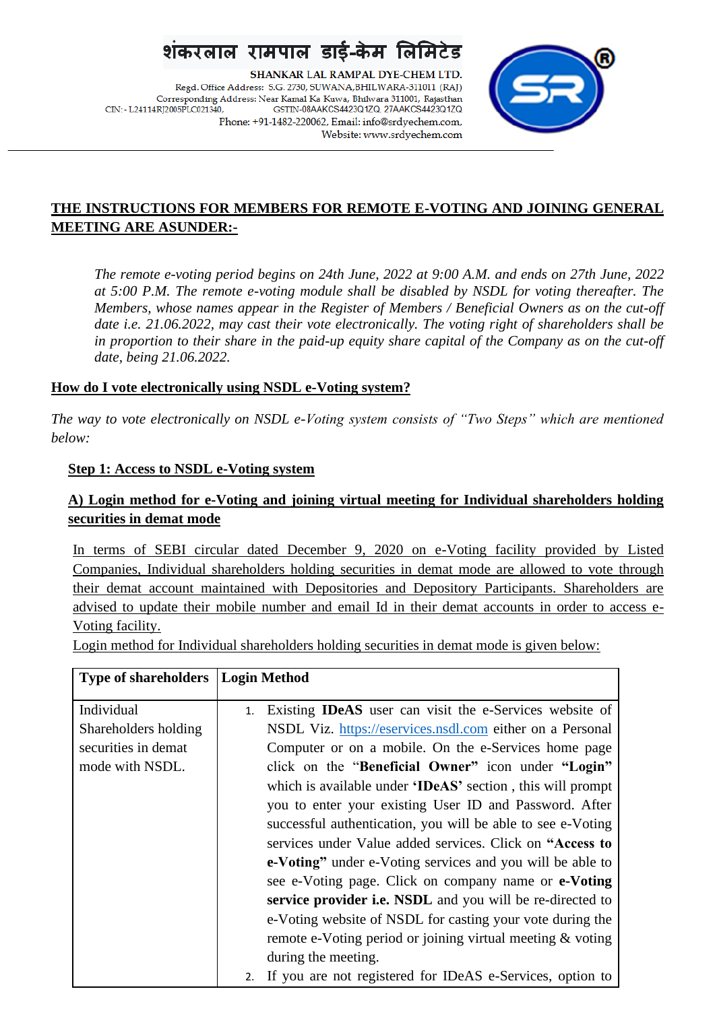SHANKAR LAL RAMPAL DYE-CHEM LTD. Regd. Office Address: S.G. 2730, SUWANA, BHILWARA-311011 (RAJ) Corresponding Address: Near Kamal Ka Kuwa, Bhilwara 311001, Rajasthan CIN: - L24114RI2005PLC021340. GSTIN-08AAKCS4423Q1ZQ, 27AAKCS4423Q1ZQ Phone: +91-1482-220062, Email: info@srdyechem.com, Website: www.srdyechem.com



## **THE INSTRUCTIONS FOR MEMBERS FOR REMOTE E-VOTING AND JOINING GENERAL MEETING ARE ASUNDER:-**

*The remote e-voting period begins on 24th June, 2022 at 9:00 A.M. and ends on 27th June, 2022 at 5:00 P.M. The remote e-voting module shall be disabled by NSDL for voting thereafter. The Members, whose names appear in the Register of Members / Beneficial Owners as on the cut-off date i.e. 21.06.2022, may cast their vote electronically. The voting right of shareholders shall be in proportion to their share in the paid-up equity share capital of the Company as on the cut-off date, being 21.06.2022.*

## **How do I vote electronically using NSDL e-Voting system?**

*The way to vote electronically on NSDL e-Voting system consists of "Two Steps" which are mentioned below:*

## **Step 1: Access to NSDL e-Voting system**

## **A) Login method for e-Voting and joining virtual meeting for Individual shareholders holding securities in demat mode**

In terms of SEBI circular dated December 9, 2020 on e-Voting facility provided by Listed Companies, Individual shareholders holding securities in demat mode are allowed to vote through their demat account maintained with Depositories and Depository Participants. Shareholders are advised to update their mobile number and email Id in their demat accounts in order to access e-Voting facility.

Login method for Individual shareholders holding securities in demat mode is given below:

| <b>Type of shareholders</b>                                                  | Login Method                                                                                                                                                                                                                                                                                                                                                                                                                                                                                                                                                                                                                                                                                                                                                                                                                                  |
|------------------------------------------------------------------------------|-----------------------------------------------------------------------------------------------------------------------------------------------------------------------------------------------------------------------------------------------------------------------------------------------------------------------------------------------------------------------------------------------------------------------------------------------------------------------------------------------------------------------------------------------------------------------------------------------------------------------------------------------------------------------------------------------------------------------------------------------------------------------------------------------------------------------------------------------|
| Individual<br>Shareholders holding<br>securities in demat<br>mode with NSDL. | Existing <b>IDeAS</b> user can visit the e-Services website of<br>1.<br>NSDL Viz. https://eservices.nsdl.com either on a Personal<br>Computer or on a mobile. On the e-Services home page<br>click on the "Beneficial Owner" icon under "Login"<br>which is available under 'IDeAS' section, this will prompt<br>you to enter your existing User ID and Password. After<br>successful authentication, you will be able to see e-Voting<br>services under Value added services. Click on "Access to<br>e-Voting" under e-Voting services and you will be able to<br>see e-Voting page. Click on company name or e-Voting<br>service provider <i>i.e.</i> NSDL and you will be re-directed to<br>e-Voting website of NSDL for casting your vote during the<br>remote e-Voting period or joining virtual meeting & voting<br>during the meeting. |
|                                                                              | 2. If you are not registered for IDeAS e-Services, option to                                                                                                                                                                                                                                                                                                                                                                                                                                                                                                                                                                                                                                                                                                                                                                                  |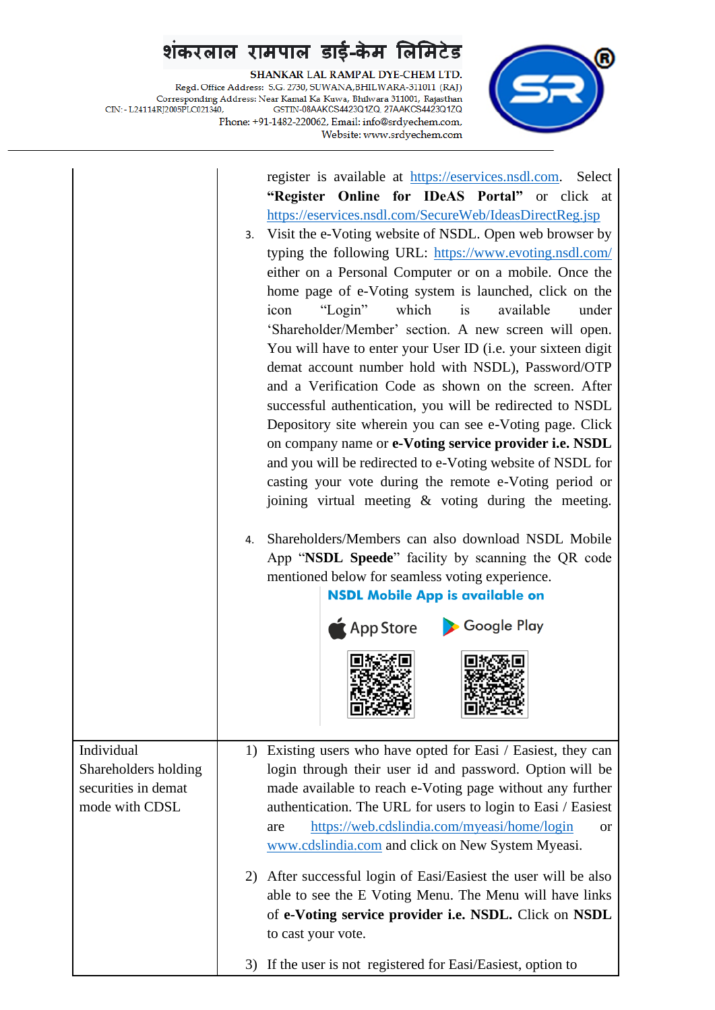${\bf SHANKAR\; LAL\; RAMPAL\; DYE-CHEM\; LTD.}$  Regd. Office Address: 5.G. 2730, SUWANA,BHILWARA-311011 (RAJ) Corresponding Address: Near Kamal Ka Kuwa, Bhilwara 311001, Rajasthan CIN:- L24114RJ2005PLC021340, GSTIN-08AAKCS4423Q1ZQ, 27AAKCS4423Q1ZQ Phone: +91-1482-220062, Email: info@srdyechem.com, Website: www.srdyechem.com



|                                                                             | register is available at https://eservices.nsdl.com. Select<br>"Register Online for IDeAS Portal" or click at<br>https://eservices.nsdl.com/SecureWeb/IdeasDirectReg.jsp<br>3. Visit the e-Voting website of NSDL. Open web browser by<br>typing the following URL: https://www.evoting.nsdl.com/<br>either on a Personal Computer or on a mobile. Once the<br>home page of e-Voting system is launched, click on the<br>which<br>is<br>available<br>"Login"<br>icon<br>under<br>'Shareholder/Member' section. A new screen will open.<br>You will have to enter your User ID (i.e. your sixteen digit<br>demat account number hold with NSDL), Password/OTP<br>and a Verification Code as shown on the screen. After<br>successful authentication, you will be redirected to NSDL<br>Depository site wherein you can see e-Voting page. Click<br>on company name or e-Voting service provider i.e. NSDL<br>and you will be redirected to e-Voting website of NSDL for<br>casting your vote during the remote e-Voting period or<br>joining virtual meeting $\&$ voting during the meeting.<br>Shareholders/Members can also download NSDL Mobile<br>4.<br>App "NSDL Speede" facility by scanning the QR code<br>mentioned below for seamless voting experience.<br><b>NSDL Mobile App is available on</b><br>App Store Coogle Play |
|-----------------------------------------------------------------------------|-------------------------------------------------------------------------------------------------------------------------------------------------------------------------------------------------------------------------------------------------------------------------------------------------------------------------------------------------------------------------------------------------------------------------------------------------------------------------------------------------------------------------------------------------------------------------------------------------------------------------------------------------------------------------------------------------------------------------------------------------------------------------------------------------------------------------------------------------------------------------------------------------------------------------------------------------------------------------------------------------------------------------------------------------------------------------------------------------------------------------------------------------------------------------------------------------------------------------------------------------------------------------------------------------------------------------------------|
| Individual<br>Shareholders holding<br>securities in demat<br>mode with CDSL | 1) Existing users who have opted for Easi / Easiest, they can<br>login through their user id and password. Option will be<br>made available to reach e-Voting page without any further<br>authentication. The URL for users to login to Easi / Easiest<br>https://web.cdslindia.com/myeasi/home/login<br>are<br><b>or</b><br>www.cdslindia.com and click on New System Myeasi.                                                                                                                                                                                                                                                                                                                                                                                                                                                                                                                                                                                                                                                                                                                                                                                                                                                                                                                                                      |
|                                                                             | After successful login of Easi/Easiest the user will be also<br>2)<br>able to see the E Voting Menu. The Menu will have links<br>of e-Voting service provider i.e. NSDL. Click on NSDL<br>to cast your vote.                                                                                                                                                                                                                                                                                                                                                                                                                                                                                                                                                                                                                                                                                                                                                                                                                                                                                                                                                                                                                                                                                                                        |
|                                                                             | If the user is not registered for Easi/Easiest, option to<br>3)                                                                                                                                                                                                                                                                                                                                                                                                                                                                                                                                                                                                                                                                                                                                                                                                                                                                                                                                                                                                                                                                                                                                                                                                                                                                     |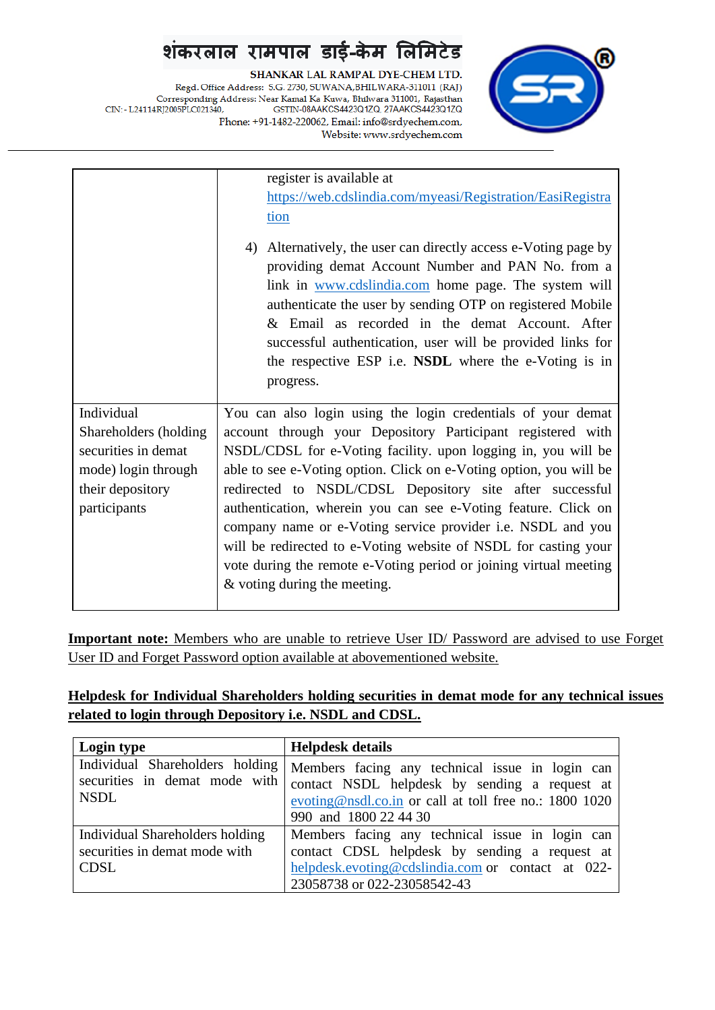SHANKAR LAL RAMPAL DYE-CHEM LTD. Regd. Office Address: S.G. 2730, SUWANA, BHILWARA-311011 (RAJ) Corresponding Address: Near Kamal Ka Kuwa, Bhilwara 311001, Rajasthan CIN: - L24114RJ2005PLC021340, GSTIN-08AAKCS4423Q1ZQ, 27AAKCS4423Q1ZQ Phone: +91-1482-220062, Email: info@srdyechem.com, Website: www.srdyechem.com



|                       | register is available at                                                                                                                                                                                                                                                                                                                                                                                                            |  |
|-----------------------|-------------------------------------------------------------------------------------------------------------------------------------------------------------------------------------------------------------------------------------------------------------------------------------------------------------------------------------------------------------------------------------------------------------------------------------|--|
|                       | https://web.cdslindia.com/myeasi/Registration/EasiRegistra                                                                                                                                                                                                                                                                                                                                                                          |  |
|                       | tion                                                                                                                                                                                                                                                                                                                                                                                                                                |  |
|                       | Alternatively, the user can directly access e-Voting page by<br>4)<br>providing demat Account Number and PAN No. from a<br>link in www.cdslindia.com home page. The system will<br>authenticate the user by sending OTP on registered Mobile<br>& Email as recorded in the demat Account. After<br>successful authentication, user will be provided links for<br>the respective ESP i.e. NSDL where the e-Voting is in<br>progress. |  |
| Individual            | You can also login using the login credentials of your demat                                                                                                                                                                                                                                                                                                                                                                        |  |
| Shareholders (holding | account through your Depository Participant registered with                                                                                                                                                                                                                                                                                                                                                                         |  |
| securities in demat   | NSDL/CDSL for e-Voting facility. upon logging in, you will be                                                                                                                                                                                                                                                                                                                                                                       |  |
| mode) login through   | able to see e-Voting option. Click on e-Voting option, you will be                                                                                                                                                                                                                                                                                                                                                                  |  |
| their depository      | redirected to NSDL/CDSL Depository site after successful                                                                                                                                                                                                                                                                                                                                                                            |  |
| participants          | authentication, wherein you can see e-Voting feature. Click on                                                                                                                                                                                                                                                                                                                                                                      |  |
|                       | company name or e-Voting service provider i.e. NSDL and you                                                                                                                                                                                                                                                                                                                                                                         |  |
|                       | will be redirected to e-Voting website of NSDL for casting your                                                                                                                                                                                                                                                                                                                                                                     |  |
|                       | vote during the remote e-Voting period or joining virtual meeting                                                                                                                                                                                                                                                                                                                                                                   |  |
|                       | $&$ voting during the meeting.                                                                                                                                                                                                                                                                                                                                                                                                      |  |

**Important note:** Members who are unable to retrieve User ID/ Password are advised to use Forget User ID and Forget Password option available at abovementioned website.

## **Helpdesk for Individual Shareholders holding securities in demat mode for any technical issues related to login through Depository i.e. NSDL and CDSL.**

| Login type                                                                      | <b>Helpdesk details</b>                                                                                                                                                              |
|---------------------------------------------------------------------------------|--------------------------------------------------------------------------------------------------------------------------------------------------------------------------------------|
| Individual Shareholders holding<br>securities in demat mode with<br><b>NSDL</b> | Members facing any technical issue in login can<br>contact NSDL helpdesk by sending a request at<br>evoting@nsdl.co.in or call at toll free no.: 1800 1020<br>990 and 1800 22 44 30  |
| Individual Shareholders holding<br>securities in demat mode with<br><b>CDSL</b> | Members facing any technical issue in login can<br>contact CDSL helpdesk by sending a request at<br>helpdesk.evoting@cdslindia.com or contact at 022-<br>23058738 or 022-23058542-43 |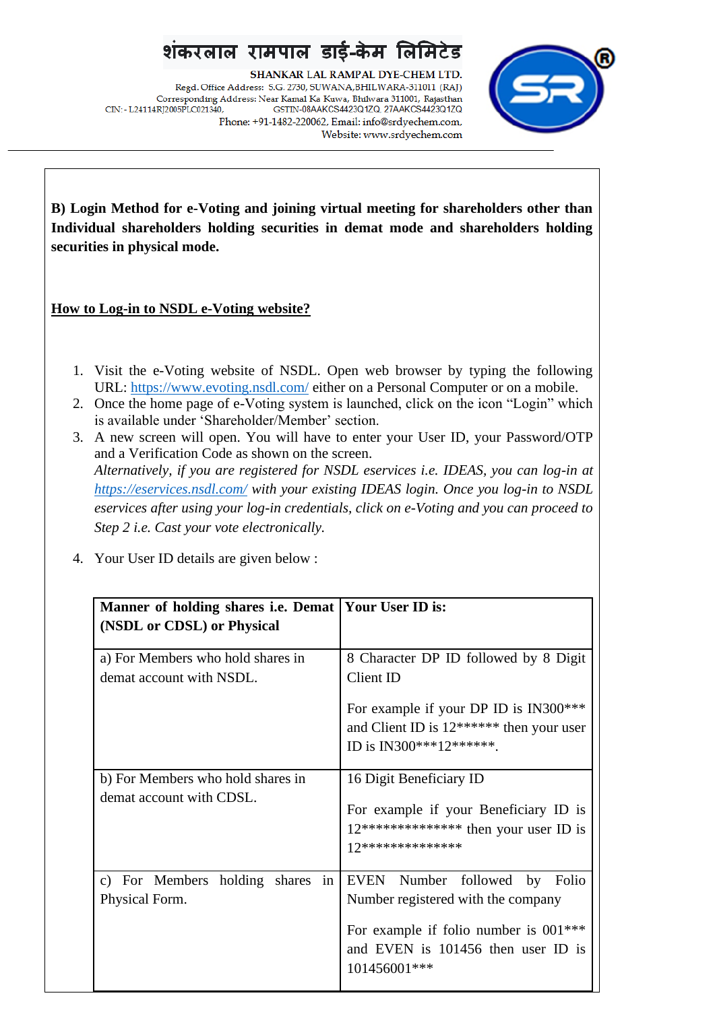SHANKAR LAL RAMPAL DYE-CHEM LTD. Regd. Office Address: S.G. 2730, SUWANA, BHILWARA-311011 (RAJ) Corresponding Address: Near Kamal Ka Kuwa, Bhilwara 311001, Rajasthan CIN: - L24114RI2005PLC021340. GSTIN-08AAKCS4423Q1ZQ, 27AAKCS4423Q1ZQ Phone: +91-1482-220062, Email: info@srdyechem.com, Website: www.srdyechem.com



**B) Login Method for e-Voting and joining virtual meeting for shareholders other than Individual shareholders holding securities in demat mode and shareholders holding securities in physical mode.**

## **How to Log-in to NSDL e-Voting website?**

- 1. Visit the e-Voting website of NSDL. Open web browser by typing the following URL:<https://www.evoting.nsdl.com/> either on a Personal Computer or on a mobile.
- 2. Once the home page of e-Voting system is launched, click on the icon "Login" which is available under 'Shareholder/Member' section.
- 3. A new screen will open. You will have to enter your User ID, your Password/OTP and a Verification Code as shown on the screen. *Alternatively, if you are registered for NSDL eservices i.e. IDEAS, you can log-in at <https://eservices.nsdl.com/> with your existing IDEAS login. Once you log-in to NSDL eservices after using your log-in credentials, click on e-Voting and you can proceed to Step 2 i.e. Cast your vote electronically.*
- 4. Your User ID details are given below :

| Manner of holding shares <i>i.e.</i> Demat | <b>Your User ID is:</b>                    |
|--------------------------------------------|--------------------------------------------|
| (NSDL or CDSL) or Physical                 |                                            |
|                                            |                                            |
| a) For Members who hold shares in          | 8 Character DP ID followed by 8 Digit      |
| demat account with NSDL.                   | Client ID                                  |
|                                            | For example if your DP ID is IN300***      |
|                                            | and Client ID is $12******$ then your user |
|                                            | ID is IN300***12*******.                   |
|                                            |                                            |
| b) For Members who hold shares in          | 16 Digit Beneficiary ID                    |
| demat account with CDSL.                   |                                            |
|                                            | For example if your Beneficiary ID is      |
|                                            | $12****************$ then your user ID is  |
|                                            | 17**************                           |
|                                            |                                            |
| c) For Members holding shares in           | EVEN Number followed by Folio              |
| Physical Form.                             | Number registered with the company         |
|                                            | For example if folio number is $001***$    |
|                                            | and EVEN is 101456 then user ID is         |
|                                            | 101456001***                               |
|                                            |                                            |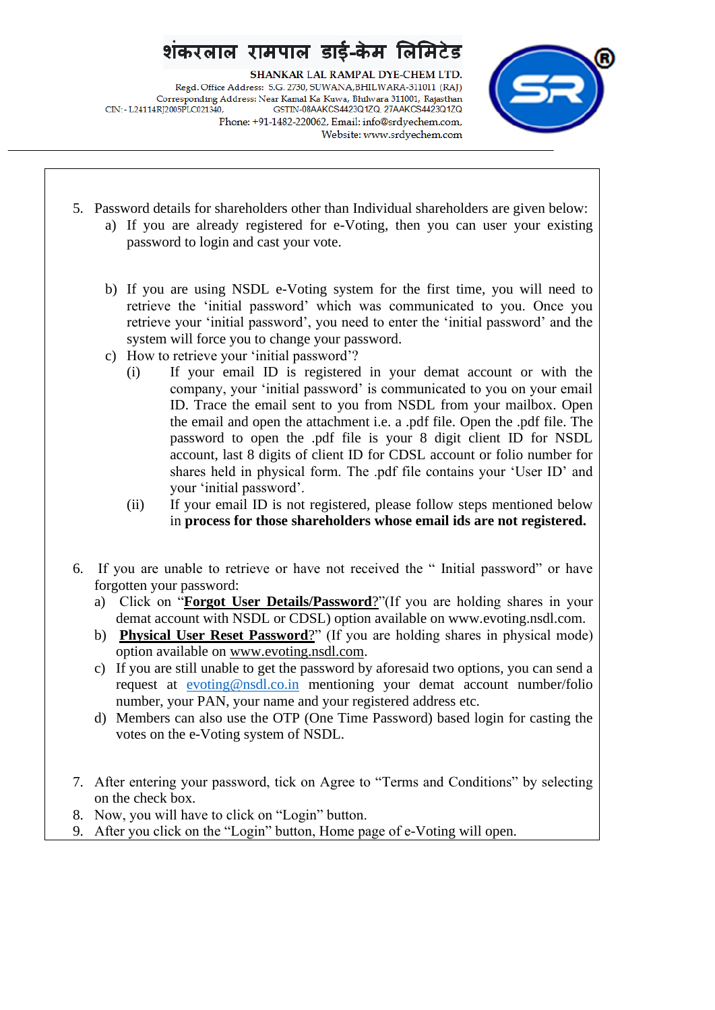## रामपाल डाई-केम

SHANKAR LAL RAMPAL DYE-CHEM LTD. Regd. Office Address: S.G. 2730, SUWANA, BHILWARA-311011 (RAJ) Corresponding Address: Near Kamal Ka Kuwa, Bhilwara 311001, Rajasthan CIN: - L24114RI2005PLC021340. GSTIN-08AAKCS4423Q1ZQ, 27AAKCS4423Q1ZQ Phone: +91-1482-220062, Email: info@srdyechem.com, Website: www.srdyechem.com



- 5. Password details for shareholders other than Individual shareholders are given below: a) If you are already registered for e-Voting, then you can user your existing password to login and cast your vote.
	- b) If you are using NSDL e-Voting system for the first time, you will need to retrieve the 'initial password' which was communicated to you. Once you retrieve your 'initial password', you need to enter the 'initial password' and the system will force you to change your password.
	- c) How to retrieve your 'initial password'?
		- (i) If your email ID is registered in your demat account or with the company, your 'initial password' is communicated to you on your email ID. Trace the email sent to you from NSDL from your mailbox. Open the email and open the attachment i.e. a .pdf file. Open the .pdf file. The password to open the .pdf file is your 8 digit client ID for NSDL account, last 8 digits of client ID for CDSL account or folio number for shares held in physical form. The .pdf file contains your 'User ID' and your 'initial password'.
		- (ii) If your email ID is not registered, please follow steps mentioned below in **process for those shareholders whose email ids are not registered.**
- 6. If you are unable to retrieve or have not received the " Initial password" or have forgotten your password:
	- a) Click on "**[Forgot User Details/Password](https://www.evoting.nsdl.com/eVotingWeb/commonhtmls/NewUser.jsp)**?"(If you are holding shares in your demat account with NSDL or CDSL) option available on www.evoting.nsdl.com.
	- b) **[Physical User Reset Password](https://www.evoting.nsdl.com/eVotingWeb/commonhtmls/PhysicalUser.jsp)**?" (If you are holding shares in physical mode) option available on [www.evoting.nsdl.com.](http://www.evoting.nsdl.com/)
	- c) If you are still unable to get the password by aforesaid two options, you can send a request at [evoting@nsdl.co.in](mailto:evoting@nsdl.co.in) mentioning your demat account number/folio number, your PAN, your name and your registered address etc.
	- d) Members can also use the OTP (One Time Password) based login for casting the votes on the e-Voting system of NSDL.
- 7. After entering your password, tick on Agree to "Terms and Conditions" by selecting on the check box.
- 8. Now, you will have to click on "Login" button.
- 9. After you click on the "Login" button, Home page of e-Voting will open.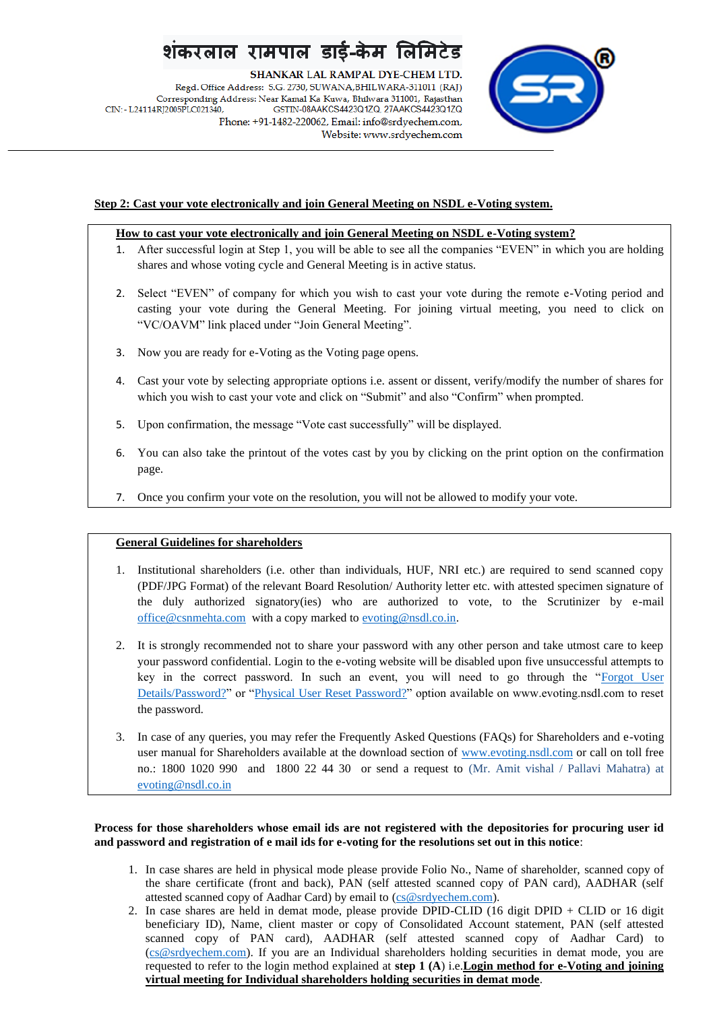SHANKAR LAL RAMPAL DYE-CHEM LTD.

Regd. Office Address: S.G. 2730, SUWANA, BHILWARA-311011 (RAJ) Corresponding Address: Near Kamal Ka Kuwa, Bhilwara 311001, Rajasthan CIN: - L24114RJ2005PLC021340, GSTIN-08AAKCS4423Q1ZQ, 27AAKCS4423Q1ZQ Phone: +91-1482-220062, Email: info@srdyechem.com, Website: www.srdyechem.com



### **Step 2: Cast your vote electronically and join General Meeting on NSDL e-Voting system.**

### **How to cast your vote electronically and join General Meeting on NSDL e-Voting system?**

- 1. After successful login at Step 1, you will be able to see all the companies "EVEN" in which you are holding shares and whose voting cycle and General Meeting is in active status.
- 2. Select "EVEN" of company for which you wish to cast your vote during the remote e-Voting period and casting your vote during the General Meeting. For joining virtual meeting, you need to click on "VC/OAVM" link placed under "Join General Meeting".
- 3. Now you are ready for e-Voting as the Voting page opens.
- 4. Cast your vote by selecting appropriate options i.e. assent or dissent, verify/modify the number of shares for which you wish to cast your vote and click on "Submit" and also "Confirm" when prompted.
- 5. Upon confirmation, the message "Vote cast successfully" will be displayed.
- 6. You can also take the printout of the votes cast by you by clicking on the print option on the confirmation page.
- 7. Once you confirm your vote on the resolution, you will not be allowed to modify your vote.

### **General Guidelines for shareholders**

- 1. Institutional shareholders (i.e. other than individuals, HUF, NRI etc.) are required to send scanned copy (PDF/JPG Format) of the relevant Board Resolution/ Authority letter etc. with attested specimen signature of the duly authorized signatory(ies) who are authorized to vote, to the Scrutinizer by e-mail [office@csnmehta.com](mailto:office@csnmehta.com) with a copy marked t[o evoting@nsdl.co.in.](mailto:evoting@nsdl.co.in)
- 2. It is strongly recommended not to share your password with any other person and take utmost care to keep your password confidential. Login to the e-voting website will be disabled upon five unsuccessful attempts to key in the correct password. In such an event, you will need to go through the ["Forgot User](https://www.evoting.nsdl.com/eVotingWeb/commonhtmls/NewUser.jsp)  [Details/Password?"](https://www.evoting.nsdl.com/eVotingWeb/commonhtmls/NewUser.jsp) or ["Physical User Reset Password?"](https://www.evoting.nsdl.com/eVotingWeb/commonhtmls/PhysicalUser.jsp) option available on www.evoting.nsdl.com to reset the password.
- 3. In case of any queries, you may refer the Frequently Asked Questions (FAQs) for Shareholders and e-voting user manual for Shareholders available at the download section of [www.evoting.nsdl.com](http://www.evoting.nsdl.com/) or call on toll free no.: 1800 1020 990 and 1800 22 44 30 or send a request to (Mr. Amit vishal / Pallavi Mahatra) at [evoting@nsdl.co.in](mailto:evoting@nsdl.co.in)

### **Process for those shareholders whose email ids are not registered with the depositories for procuring user id and password and registration of e mail ids for e-voting for the resolutions set out in this notice**:

- 1. In case shares are held in physical mode please provide Folio No., Name of shareholder, scanned copy of the share certificate (front and back), PAN (self attested scanned copy of PAN card), AADHAR (self attested scanned copy of Aadhar Card) by email to [\(cs@srdyechem.com\)](mailto:cs@srdyechem.com).
- 2. In case shares are held in demat mode, please provide DPID-CLID (16 digit DPID + CLID or 16 digit beneficiary ID), Name, client master or copy of Consolidated Account statement, PAN (self attested scanned copy of PAN card), AADHAR (self attested scanned copy of Aadhar Card) to [\(cs@srdyechem.com\)](mailto:cs@srdyechem.com). If you are an Individual shareholders holding securities in demat mode, you are requested to refer to the login method explained at **step 1 (A**) i.e.**Login method for e-Voting and joining virtual meeting for Individual shareholders holding securities in demat mode**.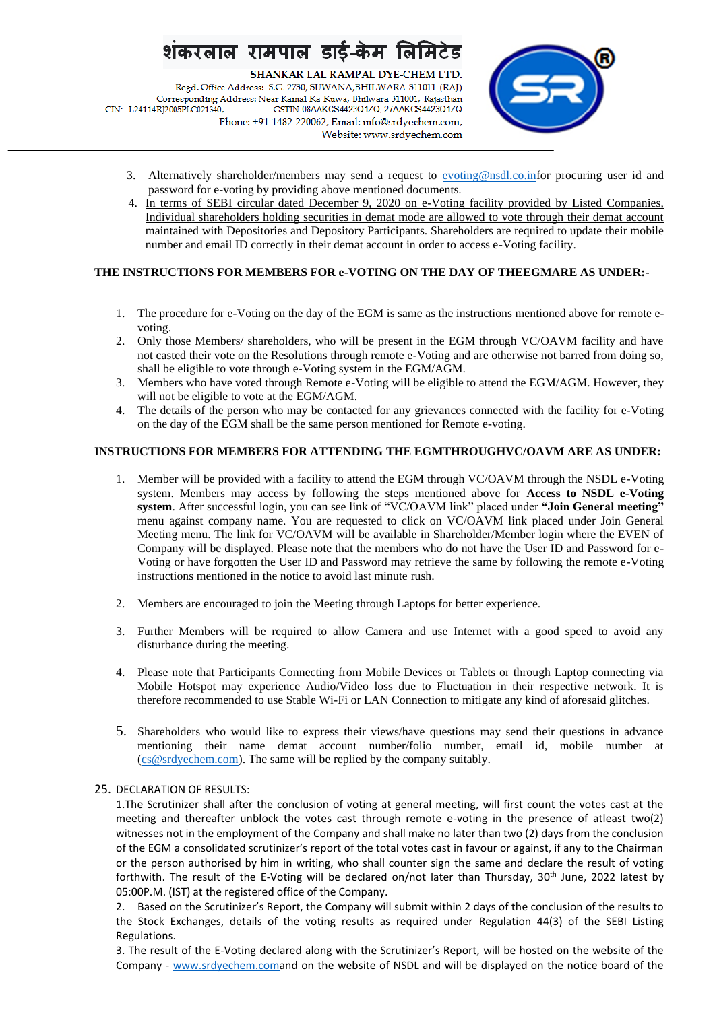SHANKAR LAL RAMPAL DYE-CHEM LTD. Regd. Office Address: S.G. 2730, SUWANA, BHILWARA-311011 (RAJ) Corresponding Address: Near Kamal Ka Kuwa, Bhilwara 311001, Rajasthan CIN: - L24114RJ2005PLC021340, GSTIN-08AAKCS4423Q1ZQ, 27AAKCS4423Q1ZQ Phone: +91-1482-220062, Email: info@srdyechem.com, Website: www.srdyechem.com



- 3. Alternatively shareholder/members may send a request to [evoting@nsdl.co.inf](mailto:evoting@nsdl.co.in)or procuring user id and password for e-voting by providing above mentioned documents.
- 4. In terms of SEBI circular dated December 9, 2020 on e-Voting facility provided by Listed Companies, Individual shareholders holding securities in demat mode are allowed to vote through their demat account maintained with Depositories and Depository Participants. Shareholders are required to update their mobile number and email ID correctly in their demat account in order to access e-Voting facility.

### **THE INSTRUCTIONS FOR MEMBERS FOR e-VOTING ON THE DAY OF THEEGMARE AS UNDER:-**

- 1. The procedure for e-Voting on the day of the EGM is same as the instructions mentioned above for remote evoting.
- 2. Only those Members/ shareholders, who will be present in the EGM through VC/OAVM facility and have not casted their vote on the Resolutions through remote e-Voting and are otherwise not barred from doing so, shall be eligible to vote through e-Voting system in the EGM/AGM.
- 3. Members who have voted through Remote e-Voting will be eligible to attend the EGM/AGM. However, they will not be eligible to vote at the EGM/AGM.
- 4. The details of the person who may be contacted for any grievances connected with the facility for e-Voting on the day of the EGM shall be the same person mentioned for Remote e-voting.

### **INSTRUCTIONS FOR MEMBERS FOR ATTENDING THE EGMTHROUGHVC/OAVM ARE AS UNDER:**

- 1. Member will be provided with a facility to attend the EGM through VC/OAVM through the NSDL e-Voting system. Members may access by following the steps mentioned above for **Access to NSDL e-Voting system**. After successful login, you can see link of "VC/OAVM link" placed under **"Join General meeting"** menu against company name. You are requested to click on VC/OAVM link placed under Join General Meeting menu. The link for VC/OAVM will be available in Shareholder/Member login where the EVEN of Company will be displayed. Please note that the members who do not have the User ID and Password for e-Voting or have forgotten the User ID and Password may retrieve the same by following the remote e-Voting instructions mentioned in the notice to avoid last minute rush.
- 2. Members are encouraged to join the Meeting through Laptops for better experience.
- 3. Further Members will be required to allow Camera and use Internet with a good speed to avoid any disturbance during the meeting.
- 4. Please note that Participants Connecting from Mobile Devices or Tablets or through Laptop connecting via Mobile Hotspot may experience Audio/Video loss due to Fluctuation in their respective network. It is therefore recommended to use Stable Wi-Fi or LAN Connection to mitigate any kind of aforesaid glitches.
- 5. Shareholders who would like to express their views/have questions may send their questions in advance mentioning their name demat account number/folio number, email id, mobile number at [\(cs@srdyechem.com\)](mailto:cs@srdyechem.com). The same will be replied by the company suitably.

#### 25. DECLARATION OF RESULTS:

1.The Scrutinizer shall after the conclusion of voting at general meeting, will first count the votes cast at the meeting and thereafter unblock the votes cast through remote e-voting in the presence of atleast two(2) witnesses not in the employment of the Company and shall make no later than two (2) days from the conclusion of the EGM a consolidated scrutinizer's report of the total votes cast in favour or against, if any to the Chairman or the person authorised by him in writing, who shall counter sign the same and declare the result of voting forthwith. The result of the E-Voting will be declared on/not later than Thursday, 30<sup>th</sup> June, 2022 latest by 05:00P.M. (IST) at the registered office of the Company.

2. Based on the Scrutinizer's Report, the Company will submit within 2 days of the conclusion of the results to the Stock Exchanges, details of the voting results as required under Regulation 44(3) of the SEBI Listing Regulations.

3. The result of the E-Voting declared along with the Scrutinizer's Report, will be hosted on the website of the Company - [www.srdyechem.coma](http://www.srdyechem.com/)nd on the website of NSDL and will be displayed on the notice board of the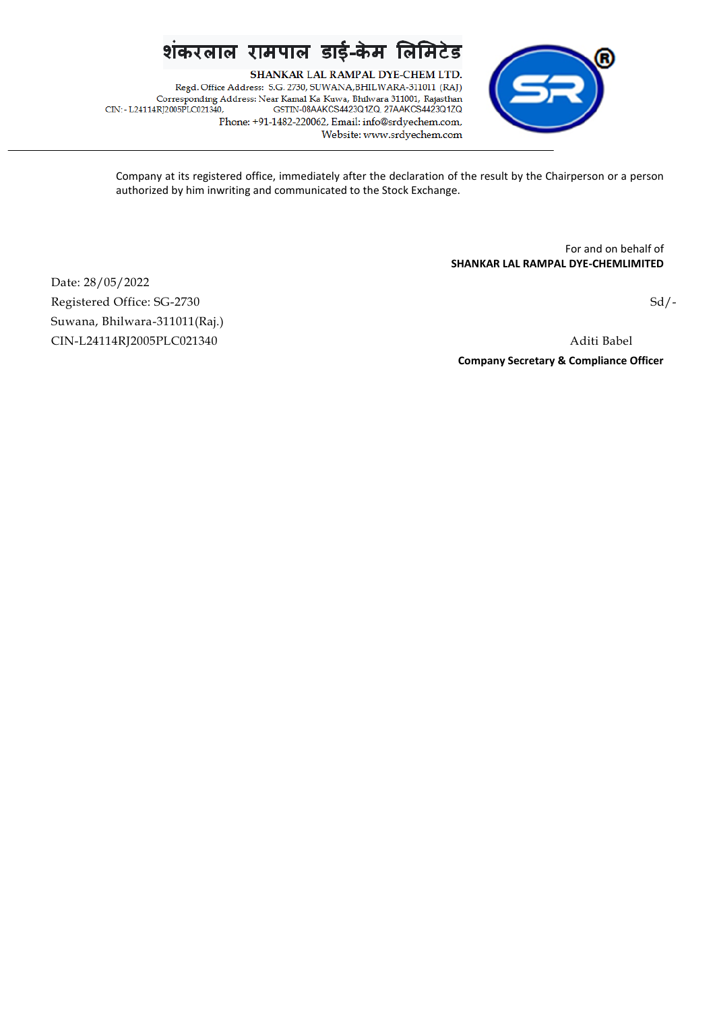SHANKAR LAL RAMPAL DYE-CHEM LTD. Regd. Office Address: S.G. 2730, SUWANA, BHILWARA-311011 (RAJ) Corresponding Address: Near Kamal Ka Kuwa, Bhilwara 311001, Rajasthan CIN: - L24114RJ2005PLC021340, GSTIN-08AAKCS4423Q1ZQ, 27AAKCS4423Q1ZQ Phone: +91-1482-220062, Email: info@srdyechem.com, Website: www.srdyechem.com



Company at its registered office, immediately after the declaration of the result by the Chairperson or a person authorized by him inwriting and communicated to the Stock Exchange.

> For and on behalf of **SHANKAR LAL RAMPAL DYE-CHEMLIMITED**

Date: 28/05/2022 Registered Office: SG-2730 Sd/-Suwana, Bhilwara-311011(Raj.) CIN-L24114RJ2005PLC021340 Aditi Babel

**Company Secretary & Compliance Officer**